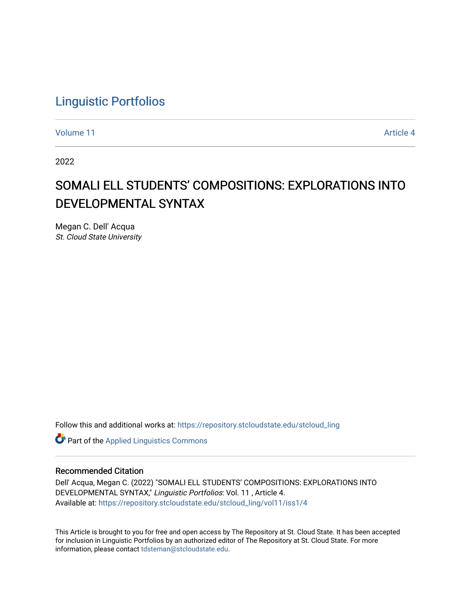## [Linguistic Portfolios](https://repository.stcloudstate.edu/stcloud_ling)

[Volume 11](https://repository.stcloudstate.edu/stcloud_ling/vol11) Article 4

2022

# SOMALI ELL STUDENTS' COMPOSITIONS: EXPLORATIONS INTO DEVELOPMENTAL SYNTAX

Megan C. Dell' Acqua St. Cloud State University

Follow this and additional works at: [https://repository.stcloudstate.edu/stcloud\\_ling](https://repository.stcloudstate.edu/stcloud_ling?utm_source=repository.stcloudstate.edu%2Fstcloud_ling%2Fvol11%2Fiss1%2F4&utm_medium=PDF&utm_campaign=PDFCoverPages) 

**Part of the Applied Linguistics Commons** 

#### Recommended Citation

Dell' Acqua, Megan C. (2022) "SOMALI ELL STUDENTS' COMPOSITIONS: EXPLORATIONS INTO DEVELOPMENTAL SYNTAX," Linguistic Portfolios: Vol. 11 , Article 4. Available at: [https://repository.stcloudstate.edu/stcloud\\_ling/vol11/iss1/4](https://repository.stcloudstate.edu/stcloud_ling/vol11/iss1/4?utm_source=repository.stcloudstate.edu%2Fstcloud_ling%2Fvol11%2Fiss1%2F4&utm_medium=PDF&utm_campaign=PDFCoverPages) 

This Article is brought to you for free and open access by The Repository at St. Cloud State. It has been accepted for inclusion in Linguistic Portfolios by an authorized editor of The Repository at St. Cloud State. For more information, please contact [tdsteman@stcloudstate.edu.](mailto:tdsteman@stcloudstate.edu)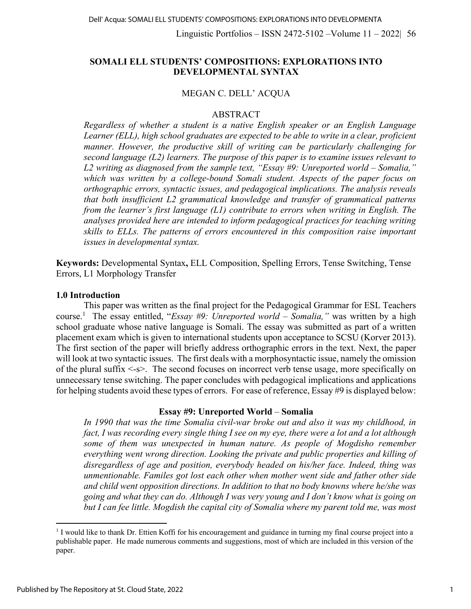## **SOMALI ELL STUDENTS' COMPOSITIONS: EXPLORATIONS INTO DEVELOPMENTAL SYNTAX**

#### MEGAN C. DELL' ACQUA

#### ABSTRACT

*Regardless of whether a student is a native English speaker or an English Language Learner (ELL), high school graduates are expected to be able to write in a clear, proficient manner. However, the productive skill of writing can be particularly challenging for second language (L2) learners. The purpose of this paper is to examine issues relevant to L2 writing as diagnosed from the sample text, "Essay #9: Unreported world – Somalia," which was written by a college-bound Somali student. Aspects of the paper focus on orthographic errors, syntactic issues, and pedagogical implications. The analysis reveals that both insufficient L2 grammatical knowledge and transfer of grammatical patterns from the learner's first language (L1) contribute to errors when writing in English. The analyses provided here are intended to inform pedagogical practices for teaching writing skills to ELLs. The patterns of errors encountered in this composition raise important issues in developmental syntax.* 

**Keywords:** Developmental Syntax**,** ELL Composition, Spelling Errors, Tense Switching, Tense Errors, L1 Morphology Transfer

#### **1.0 Introduction**

This paper was written as the final project for the Pedagogical Grammar for ESL Teachers course.1 The essay entitled, "*Essay #9: Unreported world – Somalia,"* was written by a high school graduate whose native language is Somali. The essay was submitted as part of a written placement exam which is given to international students upon acceptance to SCSU (Korver 2013). The first section of the paper will briefly address orthographic errors in the text. Next, the paper will look at two syntactic issues. The first deals with a morphosyntactic issue, namely the omission of the plural suffix <-s>. The second focuses on incorrect verb tense usage, more specifically on unnecessary tense switching. The paper concludes with pedagogical implications and applications for helping students avoid these types of errors. For ease of reference, Essay #9 is displayed below:

#### **Essay #9: Unreported World** – **Somalia**

*In 1990 that was the time Somalia civil-war broke out and also it was my childhood, in fact, I was recording every single thing I see on my eye, there were a lot and a lot although some of them was unexpected in human nature. As people of Mogdisho remember everything went wrong direction. Looking the private and public properties and killing of disregardless of age and position, everybody headed on his/her face. Indeed, thing was unmentionable. Familes got lost each other when mother went side and father other side and child went opposition directions. In addition to that no body knowns where he/she was going and what they can do. Although I was very young and I don't know what is going on but I can fee little. Mogdish the capital city of Somalia where my parent told me, was most*

<sup>&</sup>lt;sup>1</sup> I would like to thank Dr. Ettien Koffi for his encouragement and guidance in turning my final course project into a publishable paper. He made numerous comments and suggestions, most of which are included in this version of the paper.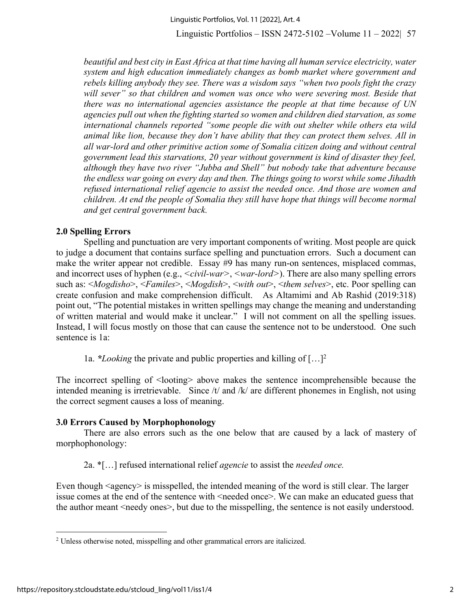*beautiful and best city in East Africa at that time having all human service electricity, water system and high education immediately changes as bomb market where government and rebels killing anybody they see. There was a wisdom says "when two pools fight the crazy* will sever" so that children and women was once who were severing most. Beside that *there was no international agencies assistance the people at that time because of UN agencies pull out when the fighting started so women and children died starvation, as some international channels reported "some people die with out shelter while others eta wild animal like lion, because they don't have ability that they can protect them selves. All in all war-lord and other primitive action some of Somalia citizen doing and without central government lead this starvations, 20 year without government is kind of disaster they feel, although they have two river "Jubba and Shell" but nobody take that adventure because the endless war going on every day and then. The things going to worst while some Jihadth refused international relief agencie to assist the needed once. And those are women and children. At end the people of Somalia they still have hope that things will become normal and get central government back.*

## **2.0 Spelling Errors**

Spelling and punctuation are very important components of writing. Most people are quick to judge a document that contains surface spelling and punctuation errors. Such a document can make the writer appear not credible. Essay #9 has many run-on sentences, misplaced commas, and incorrect uses of hyphen (e.g., *<civil-war>*, *<war-lord>*). There are also many spelling errors such as: <*Mogdisho*>, <*Familes*>, <*Mogdish*>, <*with out*>, <*them selves*>, etc. Poor spelling can create confusion and make comprehension difficult. As Altamimi and Ab Rashid (2019:318) point out, "The potential mistakes in written spellings may change the meaning and understanding of written material and would make it unclear." I will not comment on all the spelling issues. Instead, I will focus mostly on those that can cause the sentence not to be understood. One such sentence is 1a:

1a. *\*Looking* the private and public properties and killing of […]2

The incorrect spelling of  $\triangleleft$ looting above makes the sentence incomprehensible because the intended meaning is irretrievable. Since /t/ and /k/ are different phonemes in English, not using the correct segment causes a loss of meaning.

## **3.0 Errors Caused by Morphophonology**

There are also errors such as the one below that are caused by a lack of mastery of morphophonology:

2a. \*[…] refused international relief *agencie* to assist the *needed once.*

Even though  $\langle$ agency $\rangle$  is misspelled, the intended meaning of the word is still clear. The larger issue comes at the end of the sentence with <needed once>. We can make an educated guess that the author meant <needy ones>, but due to the misspelling, the sentence is not easily understood.

<sup>&</sup>lt;sup>2</sup> Unless otherwise noted, misspelling and other grammatical errors are italicized.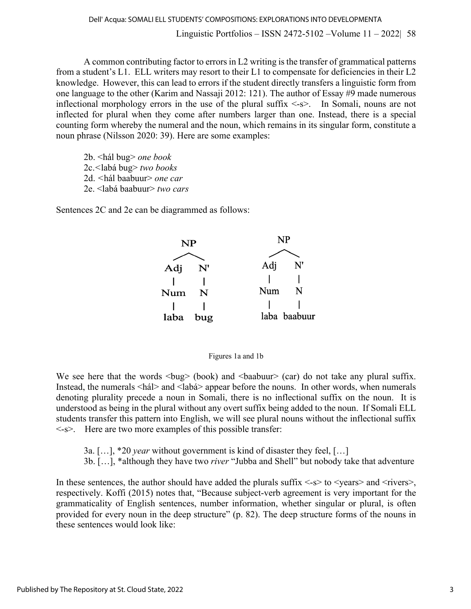A common contributing factor to errors in L2 writing is the transfer of grammatical patterns from a student's L1. ELL writers may resort to their L1 to compensate for deficiencies in their L2 knowledge. However, this can lead to errors if the student directly transfers a linguistic form from one language to the other (Karim and Nassaji 2012: 121). The author of Essay #9 made numerous inflectional morphology errors in the use of the plural suffix  $\langle -s \rangle$ . In Somali, nouns are not inflected for plural when they come after numbers larger than one. Instead, there is a special counting form whereby the numeral and the noun, which remains in its singular form, constitute a noun phrase (Nilsson 2020: 39). Here are some examples:

2b. <hál bug> *one book* 2c.*<*labá bug> *two books* 2d. *<*hál baabuur> *one car* 2e. <labá baabuur> *two cars*

Sentences 2C and 2e can be diagrammed as follows:





We see here that the words  $\langle \text{bug} \rangle$  (book) and  $\langle \text{baabuur} \rangle$  (car) do not take any plural suffix. Instead, the numerals <hál> and <labá> appear before the nouns. In other words, when numerals denoting plurality precede a noun in Somali, there is no inflectional suffix on the noun. It is understood as being in the plural without any overt suffix being added to the noun. If Somali ELL students transfer this pattern into English, we will see plural nouns without the inflectional suffix <-s>. Here are two more examples of this possible transfer:

3a. […], \*20 *year* without government is kind of disaster they feel, […]

3b. […], \*although they have two *river* "Jubba and Shell" but nobody take that adventure

In these sentences, the author should have added the plurals suffix  $\langle -s \rangle$  to  $\langle -\gamma \rangle$  and  $\langle -\gamma \rangle$  ivers respectively. Koffi (2015) notes that, "Because subject-verb agreement is very important for the grammaticality of English sentences, number information, whether singular or plural, is often provided for every noun in the deep structure" (p. 82). The deep structure forms of the nouns in these sentences would look like: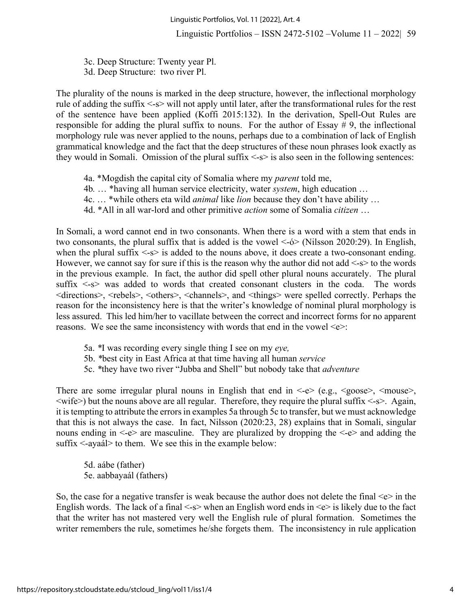3c. Deep Structure: Twenty year Pl. 3d. Deep Structure: two river Pl.

The plurality of the nouns is marked in the deep structure, however, the inflectional morphology rule of adding the suffix <-s> will not apply until later, after the transformational rules for the rest of the sentence have been applied (Koffi 2015:132). In the derivation, Spell-Out Rules are responsible for adding the plural suffix to nouns. For the author of Essay # 9, the inflectional morphology rule was never applied to the nouns, perhaps due to a combination of lack of English grammatical knowledge and the fact that the deep structures of these noun phrases look exactly as they would in Somali. Omission of the plural suffix  $\langle -s \rangle$  is also seen in the following sentences:

- 4a. \*Mogdish the capital city of Somalia where my *parent* told me,
- 4b*.* … \*having all human service electricity, water *system*, high education …
- 4c. … \*while others eta wild *animal* like *lion* because they don't have ability …
- 4d. \*All in all war-lord and other primitive *action* some of Somalia *citizen* …

In Somali, a word cannot end in two consonants. When there is a word with a stem that ends in two consonants, the plural suffix that is added is the vowel <-ó> (Nilsson 2020:29). In English, when the plural suffix  $\langle -s \rangle$  is added to the nouns above, it does create a two-consonant ending. However, we cannot say for sure if this is the reason why the author did not add  $\leq s$  to the words in the previous example. In fact, the author did spell other plural nouns accurately. The plural suffix  $\leq$ -s> was added to words that created consonant clusters in the coda. The words <directions>, <rebels>, <others>, <channels>, and <things> were spelled correctly. Perhaps the reason for the inconsistency here is that the writer's knowledge of nominal plural morphology is less assured. This led him/her to vacillate between the correct and incorrect forms for no apparent reasons. We see the same inconsistency with words that end in the vowel  $\leq e$ :

- 5a. *\**I was recording every single thing I see on my *eye,*
- 5b. *\**best city in East Africa at that time having all human *service*
- 5c. *\**they have two river "Jubba and Shell" but nobody take that *adventure*

There are some irregular plural nouns in English that end in  $\leq$  e.g.,  $\leq$  goose>,  $\leq$  mouse>,  $\langle\text{write}\rangle$  but the nouns above are all regular. Therefore, they require the plural suffix  $\langle -s \rangle$ . Again, it is tempting to attribute the errors in examples 5a through 5c to transfer, but we must acknowledge that this is not always the case. In fact, Nilsson (2020:23, 28) explains that in Somali, singular nouns ending in <-e> are masculine. They are pluralized by dropping the <-e> and adding the suffix <-ayaál> to them. We see this in the example below:

5d. aábe (father) 5e. aabbayaál (fathers)

So, the case for a negative transfer is weak because the author does not delete the final  $\ll$  in the English words. The lack of a final  $\leq s$  when an English word ends in  $\leq e$  is likely due to the fact that the writer has not mastered very well the English rule of plural formation. Sometimes the writer remembers the rule, sometimes he/she forgets them. The inconsistency in rule application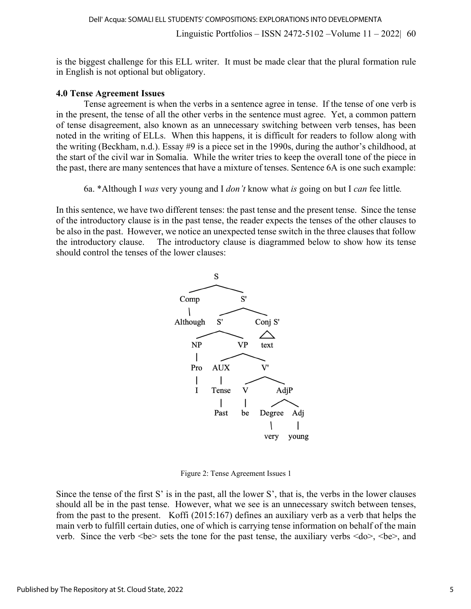is the biggest challenge for this ELL writer. It must be made clear that the plural formation rule in English is not optional but obligatory.

#### **4.0 Tense Agreement Issues**

Tense agreement is when the verbs in a sentence agree in tense. If the tense of one verb is in the present, the tense of all the other verbs in the sentence must agree.Yet, a common pattern of tense disagreement, also known as an unnecessary switching between verb tenses, has been noted in the writing of ELLs. When this happens, it is difficult for readers to follow along with the writing (Beckham, n.d.). Essay #9 is a piece set in the 1990s, during the author's childhood, at the start of the civil war in Somalia. While the writer tries to keep the overall tone of the piece in the past, there are many sentences that have a mixture of tenses. Sentence 6A is one such example:

6a. \*Although I *was* very young and I *don't* know what *is* going on but I *can* fee little*.*

In this sentence, we have two different tenses: the past tense and the present tense. Since the tense of the introductory clause is in the past tense, the reader expects the tenses of the other clauses to be also in the past. However, we notice an unexpected tense switch in the three clauses that follow the introductory clause. The introductory clause is diagrammed below to show how its tense should control the tenses of the lower clauses:



Figure 2: Tense Agreement Issues 1

Since the tense of the first S' is in the past, all the lower S', that is, the verbs in the lower clauses should all be in the past tense. However, what we see is an unnecessary switch between tenses, from the past to the present. Koffi (2015:167) defines an auxiliary verb as a verb that helps the main verb to fulfill certain duties, one of which is carrying tense information on behalf of the main verb. Since the verb  $\langle be \rangle$  sets the tone for the past tense, the auxiliary verbs  $\langle do \rangle$ ,  $\langle be \rangle$ , and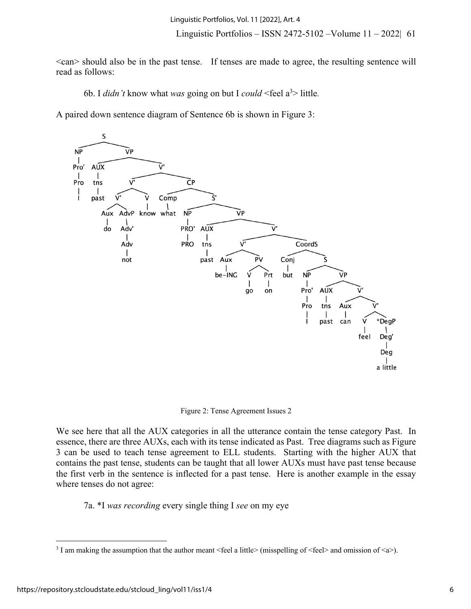<can> should also be in the past tense. If tenses are made to agree, the resulting sentence will read as follows:

6b. I *didn't* know what *was* going on but I *could* <feel a3 > little*.*

A paired down sentence diagram of Sentence 6b is shown in Figure 3:



Figure 2: Tense Agreement Issues 2

We see here that all the AUX categories in all the utterance contain the tense category Past. In essence, there are three AUXs, each with its tense indicated as Past. Tree diagrams such as Figure 3 can be used to teach tense agreement to ELL students. Starting with the higher AUX that contains the past tense, students can be taught that all lower AUXs must have past tense because the first verb in the sentence is inflected for a past tense. Here is another example in the essay where tenses do not agree:

7a. \*I *was recording* every single thing I *see* on my eye

<sup>&</sup>lt;sup>3</sup> I am making the assumption that the author meant <feel a little> (misspelling of <feel> and omission of <a>).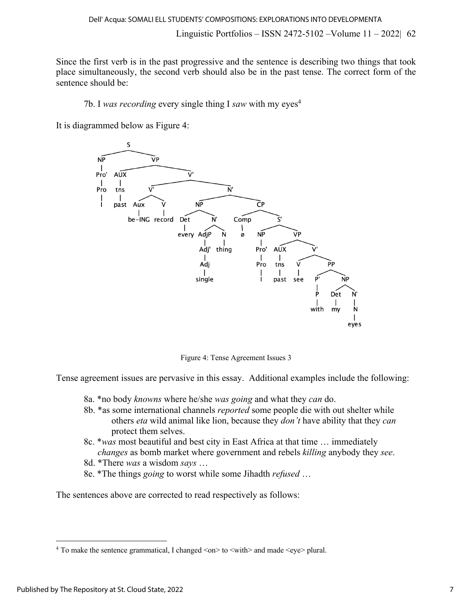Since the first verb is in the past progressive and the sentence is describing two things that took place simultaneously, the second verb should also be in the past tense. The correct form of the sentence should be:

7b. I *was recording* every single thing I *saw* with my eyes4

It is diagrammed below as Figure 4:



Figure 4: Tense Agreement Issues 3

Tense agreement issues are pervasive in this essay. Additional examples include the following:

- 8a. \*no body *knowns* where he/she *was going* and what they *can* do.
- 8b. \*as some international channels *reported* some people die with out shelter while others *eta* wild animal like lion, because they *don't* have ability that they *can* protect them selves.
- 8c. \**was* most beautiful and best city in East Africa at that time … immediately *changes* as bomb market where government and rebels *killing* anybody they *see*.
- 8d. \*There *was* a wisdom *says* …
- 8e. \*The things *going* to worst while some Jihadth *refused* …

The sentences above are corrected to read respectively as follows:

<sup>&</sup>lt;sup>4</sup> To make the sentence grammatical, I changed  $\langle$ on $>$  to  $\langle$ with $>$  and made  $\langle$ eye $>$  plural.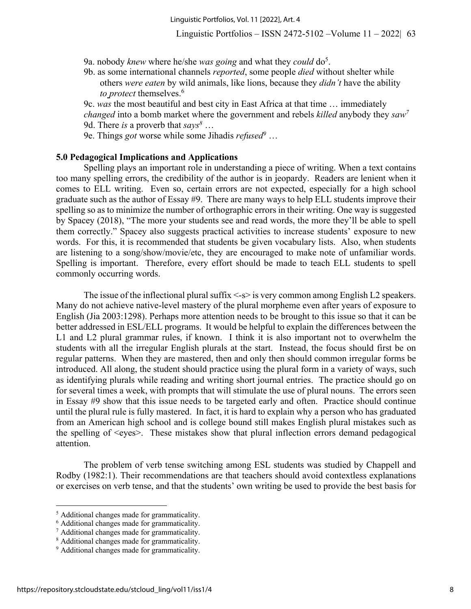- 9a. nobody *knew* where he/she *was going* and what they *could* do5.
- 9b. as some international channels *reported*, some people *died* without shelter while others *were eaten* by wild animals, like lions, because they *didn't* have the ability *to protect* themselves. 6

9c. *was* the most beautiful and best city in East Africa at that time … immediately *changed* into a bomb market where the government and rebels *killed* anybody they *saw7* 9d. There *is* a proverb that *says8* …

9e. Things *got* worse while some Jihadis *refused9* …

#### **5.0 Pedagogical Implications and Applications**

Spelling plays an important role in understanding a piece of writing. When a text contains too many spelling errors, the credibility of the author is in jeopardy. Readers are lenient when it comes to ELL writing. Even so, certain errors are not expected, especially for a high school graduate such as the author of Essay #9. There are many ways to help ELL students improve their spelling so as to minimize the number of orthographic errors in their writing. One way is suggested by Spacey (2018), "The more your students see and read words, the more they'll be able to spell them correctly." Spacey also suggests practical activities to increase students' exposure to new words. For this, it is recommended that students be given vocabulary lists. Also, when students are listening to a song/show/movie/etc, they are encouraged to make note of unfamiliar words. Spelling is important. Therefore, every effort should be made to teach ELL students to spell commonly occurring words.

The issue of the inflectional plural suffix  $\leq s$  is very common among English L2 speakers. Many do not achieve native-level mastery of the plural morpheme even after years of exposure to English (Jia 2003:1298). Perhaps more attention needs to be brought to this issue so that it can be better addressed in ESL/ELL programs. It would be helpful to explain the differences between the L1 and L2 plural grammar rules, if known. I think it is also important not to overwhelm the students with all the irregular English plurals at the start. Instead, the focus should first be on regular patterns. When they are mastered, then and only then should common irregular forms be introduced. All along, the student should practice using the plural form in a variety of ways, such as identifying plurals while reading and writing short journal entries. The practice should go on for several times a week, with prompts that will stimulate the use of plural nouns. The errors seen in Essay #9 show that this issue needs to be targeted early and often. Practice should continue until the plural rule is fully mastered. In fact, it is hard to explain why a person who has graduated from an American high school and is college bound still makes English plural mistakes such as the spelling of <eyes>. These mistakes show that plural inflection errors demand pedagogical attention.

The problem of verb tense switching among ESL students was studied by Chappell and Rodby (1982:1). Their recommendations are that teachers should avoid contextless explanations or exercises on verb tense, and that the students' own writing be used to provide the best basis for

<sup>5</sup> Additional changes made for grammaticality.

<sup>6</sup> Additional changes made for grammaticality.

<sup>7</sup> Additional changes made for grammaticality.

<sup>8</sup> Additional changes made for grammaticality.

<sup>&</sup>lt;sup>9</sup> Additional changes made for grammaticality.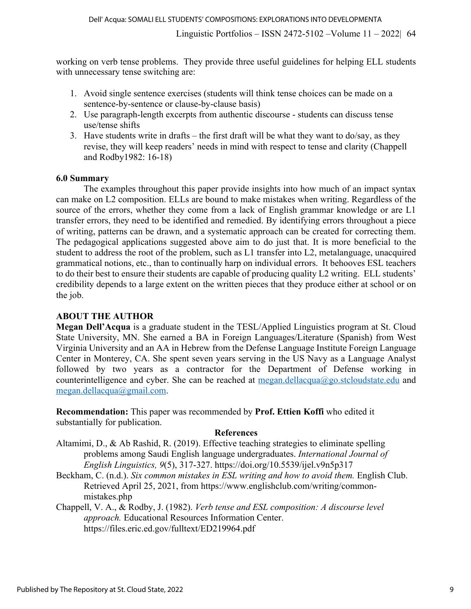working on verb tense problems. They provide three useful guidelines for helping ELL students with unnecessary tense switching are:

- 1. Avoid single sentence exercises (students will think tense choices can be made on a sentence-by-sentence or clause-by-clause basis)
- 2. Use paragraph-length excerpts from authentic discourse students can discuss tense use/tense shifts
- 3. Have students write in drafts the first draft will be what they want to do/say, as they revise, they will keep readers' needs in mind with respect to tense and clarity (Chappell and Rodby1982: 16-18)

## **6.0 Summary**

The examples throughout this paper provide insights into how much of an impact syntax can make on L2 composition. ELLs are bound to make mistakes when writing. Regardless of the source of the errors, whether they come from a lack of English grammar knowledge or are L1 transfer errors, they need to be identified and remedied. By identifying errors throughout a piece of writing, patterns can be drawn, and a systematic approach can be created for correcting them. The pedagogical applications suggested above aim to do just that. It is more beneficial to the student to address the root of the problem, such as L1 transfer into L2, metalanguage, unacquired grammatical notions, etc., than to continually harp on individual errors. It behooves ESL teachers to do their best to ensure their students are capable of producing quality L2 writing. ELL students' credibility depends to a large extent on the written pieces that they produce either at school or on the job.

## **ABOUT THE AUTHOR**

**Megan Dell'Acqua** is a graduate student in the TESL/Applied Linguistics program at St. Cloud State University, MN. She earned a BA in Foreign Languages/Literature (Spanish) from West Virginia University and an AA in Hebrew from the Defense Language Institute Foreign Language Center in Monterey, CA. She spent seven years serving in the US Navy as a Language Analyst followed by two years as a contractor for the Department of Defense working in counterintelligence and cyber. She can be reached at  $\text{median}.dellacqua@go.stcloudstate.edu$  and megan.dellacqua@gmail.com.

**Recommendation:** This paper was recommended by **Prof. Ettien Koffi** who edited it substantially for publication.

## **References**

Altamimi, D., & Ab Rashid, R. (2019). Effective teaching strategies to eliminate spelling problems among Saudi English language undergraduates. *International Journal of English Linguistics, 9*(5), 317-327. https://doi.org/10.5539/ijel.v9n5p317

- Beckham, C. (n.d.). *Six common mistakes in ESL writing and how to avoid them.* English Club. Retrieved April 25, 2021, from https://www.englishclub.com/writing/commonmistakes.php
- Chappell, V. A., & Rodby, J. (1982). *Verb tense and ESL composition: A discourse level approach.* Educational Resources Information Center. https://files.eric.ed.gov/fulltext/ED219964.pdf